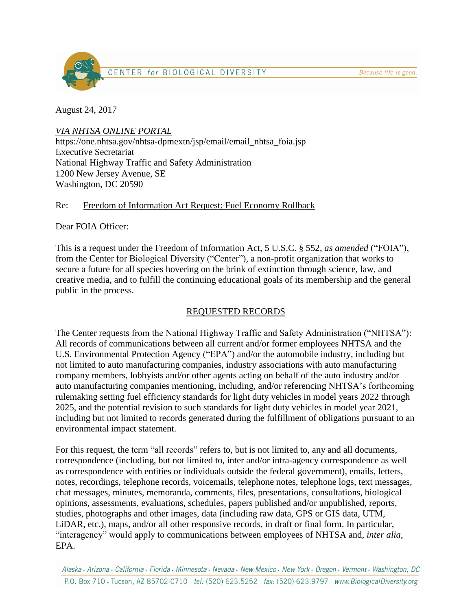Because life is good.



August 24, 2017

*VIA NHTSA ONLINE PORTAL*

https://one.nhtsa.gov/nhtsa-dpmextn/jsp/email/email\_nhtsa\_foia.jsp Executive Secretariat National Highway Traffic and Safety Administration 1200 New Jersey Avenue, SE Washington, DC 20590

### Re: Freedom of Information Act Request: Fuel Economy Rollback

Dear FOIA Officer:

This is a request under the Freedom of Information Act, 5 U.S.C. § 552, *as amended* ("FOIA"), from the Center for Biological Diversity ("Center"), a non-profit organization that works to secure a future for all species hovering on the brink of extinction through science, law, and creative media, and to fulfill the continuing educational goals of its membership and the general public in the process.

# REQUESTED RECORDS

The Center requests from the National Highway Traffic and Safety Administration ("NHTSA"): All records of communications between all current and/or former employees NHTSA and the U.S. Environmental Protection Agency ("EPA") and/or the automobile industry, including but not limited to auto manufacturing companies, industry associations with auto manufacturing company members, lobbyists and/or other agents acting on behalf of the auto industry and/or auto manufacturing companies mentioning, including, and/or referencing NHTSA's forthcoming rulemaking setting fuel efficiency standards for light duty vehicles in model years 2022 through 2025, and the potential revision to such standards for light duty vehicles in model year 2021, including but not limited to records generated during the fulfillment of obligations pursuant to an environmental impact statement.

For this request, the term "all records" refers to, but is not limited to, any and all documents, correspondence (including, but not limited to, inter and/or intra-agency correspondence as well as correspondence with entities or individuals outside the federal government), emails, letters, notes, recordings, telephone records, voicemails, telephone notes, telephone logs, text messages, chat messages, minutes, memoranda, comments, files, presentations, consultations, biological opinions, assessments, evaluations, schedules, papers published and/or unpublished, reports, studies, photographs and other images, data (including raw data, GPS or GIS data, UTM, LiDAR, etc.), maps, and/or all other responsive records, in draft or final form. In particular, "interagency" would apply to communications between employees of NHTSA and*, inter alia*, EPA.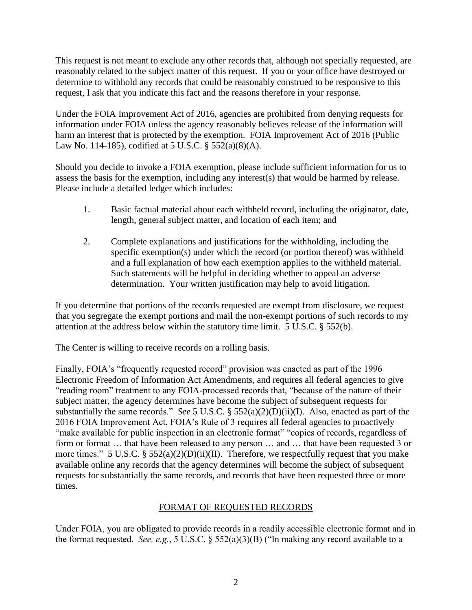This request is not meant to exclude any other records that, although not specially requested, are reasonably related to the subject matter of this request. If you or your office have destroyed or determine to withhold any records that could be reasonably construed to be responsive to this request, I ask that you indicate this fact and the reasons therefore in your response.

Under the FOIA Improvement Act of 2016, agencies are prohibited from denying requests for information under FOIA unless the agency reasonably believes release of the information will harm an interest that is protected by the exemption. FOIA Improvement Act of 2016 (Public Law No. 114-185), codified at 5 U.S.C. § 552(a)(8)(A).

Should you decide to invoke a FOIA exemption, please include sufficient information for us to assess the basis for the exemption, including any interest(s) that would be harmed by release. Please include a detailed ledger which includes:

- 1. Basic factual material about each withheld record, including the originator, date, length, general subject matter, and location of each item; and
- 2. Complete explanations and justifications for the withholding, including the specific exemption(s) under which the record (or portion thereof) was withheld and a full explanation of how each exemption applies to the withheld material. Such statements will be helpful in deciding whether to appeal an adverse determination. Your written justification may help to avoid litigation.

If you determine that portions of the records requested are exempt from disclosure, we request that you segregate the exempt portions and mail the non-exempt portions of such records to my attention at the address below within the statutory time limit. 5 U.S.C. § 552(b).

The Center is willing to receive records on a rolling basis.

Finally, FOIA's "frequently requested record" provision was enacted as part of the 1996 Electronic Freedom of Information Act Amendments, and requires all federal agencies to give "reading room" treatment to any FOIA-processed records that, "because of the nature of their subject matter, the agency determines have become the subject of subsequent requests for substantially the same records." *See* 5 U.S.C. § 552(a)(2)(D)(ii)(I). Also, enacted as part of the 2016 FOIA Improvement Act, FOIA's Rule of 3 requires all federal agencies to proactively "make available for public inspection in an electronic format" "copies of records, regardless of form or format ... that have been released to any person ... and ... that have been requested 3 or more times." 5 U.S.C. §  $552(a)(2)(D)(ii)(II)$ . Therefore, we respectfully request that you make available online any records that the agency determines will become the subject of subsequent requests for substantially the same records, and records that have been requested three or more times.

### FORMAT OF REQUESTED RECORDS

Under FOIA, you are obligated to provide records in a readily accessible electronic format and in the format requested. *See, e.g.*, 5 U.S.C. § 552(a)(3)(B) ("In making any record available to a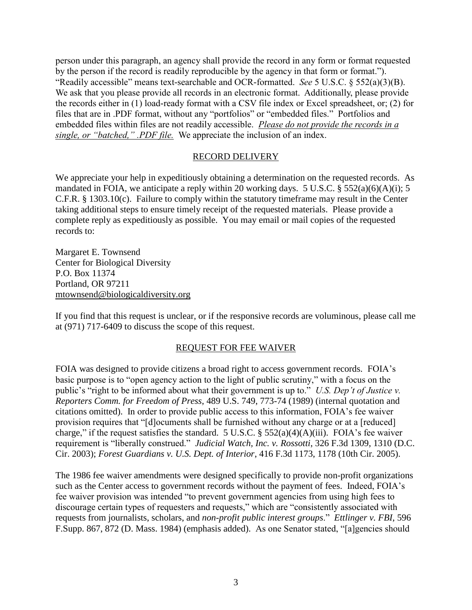person under this paragraph, an agency shall provide the record in any form or format requested by the person if the record is readily reproducible by the agency in that form or format."). "Readily accessible" means text-searchable and OCR-formatted. *See* 5 U.S.C. § 552(a)(3)(B). We ask that you please provide all records in an electronic format. Additionally, please provide the records either in (1) load-ready format with a CSV file index or Excel spreadsheet, or; (2) for files that are in .PDF format, without any "portfolios" or "embedded files." Portfolios and embedded files within files are not readily accessible. *Please do not provide the records in a single, or "batched," .PDF file.* We appreciate the inclusion of an index.

#### RECORD DELIVERY

We appreciate your help in expeditiously obtaining a determination on the requested records. As mandated in FOIA, we anticipate a reply within 20 working days. 5 U.S.C.  $\S$  552(a)(6)(A)(i); 5 C.F.R. § 1303.10(c). Failure to comply within the statutory timeframe may result in the Center taking additional steps to ensure timely receipt of the requested materials. Please provide a complete reply as expeditiously as possible. You may email or mail copies of the requested records to:

Margaret E. Townsend Center for Biological Diversity P.O. Box 11374 Portland, OR 97211 mtownsend@biologicaldiversity.org

If you find that this request is unclear, or if the responsive records are voluminous, please call me at (971) 717-6409 to discuss the scope of this request.

#### REQUEST FOR FEE WAIVER

FOIA was designed to provide citizens a broad right to access government records. FOIA's basic purpose is to "open agency action to the light of public scrutiny," with a focus on the public's "right to be informed about what their government is up to." *U.S. Dep't of Justice v. Reporters Comm. for Freedom of Press*, 489 U.S. 749, 773-74 (1989) (internal quotation and citations omitted). In order to provide public access to this information, FOIA's fee waiver provision requires that "[d]ocuments shall be furnished without any charge or at a [reduced] charge," if the request satisfies the standard. 5 U.S.C.  $\S$  552(a)(4)(A)(iii). FOIA's fee waiver requirement is "liberally construed." *Judicial Watch, Inc. v. Rossotti*, 326 F.3d 1309, 1310 (D.C. Cir. 2003); *Forest Guardians v. U.S. Dept. of Interior*, 416 F.3d 1173, 1178 (10th Cir. 2005).

The 1986 fee waiver amendments were designed specifically to provide non-profit organizations such as the Center access to government records without the payment of fees. Indeed, FOIA's fee waiver provision was intended "to prevent government agencies from using high fees to discourage certain types of requesters and requests," which are "consistently associated with requests from journalists, scholars, and *non-profit public interest groups*." *Ettlinger v. FBI*, 596 F.Supp. 867, 872 (D. Mass. 1984) (emphasis added). As one Senator stated, "[a]gencies should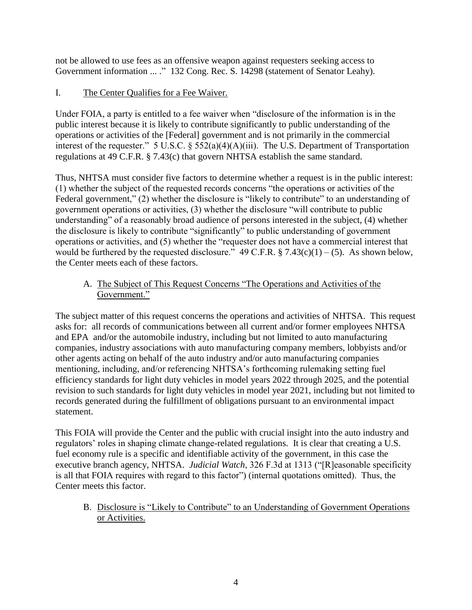not be allowed to use fees as an offensive weapon against requesters seeking access to Government information ... ." 132 Cong. Rec. S. 14298 (statement of Senator Leahy).

# I. The Center Qualifies for a Fee Waiver.

Under FOIA, a party is entitled to a fee waiver when "disclosure of the information is in the public interest because it is likely to contribute significantly to public understanding of the operations or activities of the [Federal] government and is not primarily in the commercial interest of the requester." 5 U.S.C. § 552(a)(4)(A)(iii). The U.S. Department of Transportation regulations at 49 C.F.R. § 7.43(c) that govern NHTSA establish the same standard.

Thus, NHTSA must consider five factors to determine whether a request is in the public interest: (1) whether the subject of the requested records concerns "the operations or activities of the Federal government," (2) whether the disclosure is "likely to contribute" to an understanding of government operations or activities, (3) whether the disclosure "will contribute to public understanding" of a reasonably broad audience of persons interested in the subject, (4) whether the disclosure is likely to contribute "significantly" to public understanding of government operations or activities, and (5) whether the "requester does not have a commercial interest that would be furthered by the requested disclosure."  $49$  C.F.R. § 7.43(c)(1) – (5). As shown below, the Center meets each of these factors.

## A. The Subject of This Request Concerns "The Operations and Activities of the Government."

The subject matter of this request concerns the operations and activities of NHTSA. This request asks for: all records of communications between all current and/or former employees NHTSA and EPA and/or the automobile industry, including but not limited to auto manufacturing companies, industry associations with auto manufacturing company members, lobbyists and/or other agents acting on behalf of the auto industry and/or auto manufacturing companies mentioning, including, and/or referencing NHTSA's forthcoming rulemaking setting fuel efficiency standards for light duty vehicles in model years 2022 through 2025, and the potential revision to such standards for light duty vehicles in model year 2021, including but not limited to records generated during the fulfillment of obligations pursuant to an environmental impact statement.

This FOIA will provide the Center and the public with crucial insight into the auto industry and regulators' roles in shaping climate change-related regulations. It is clear that creating a U.S. fuel economy rule is a specific and identifiable activity of the government, in this case the executive branch agency, NHTSA. *Judicial Watch*, 326 F.3d at 1313 ("[R]easonable specificity is all that FOIA requires with regard to this factor") (internal quotations omitted). Thus, the Center meets this factor.

B. Disclosure is "Likely to Contribute" to an Understanding of Government Operations or Activities.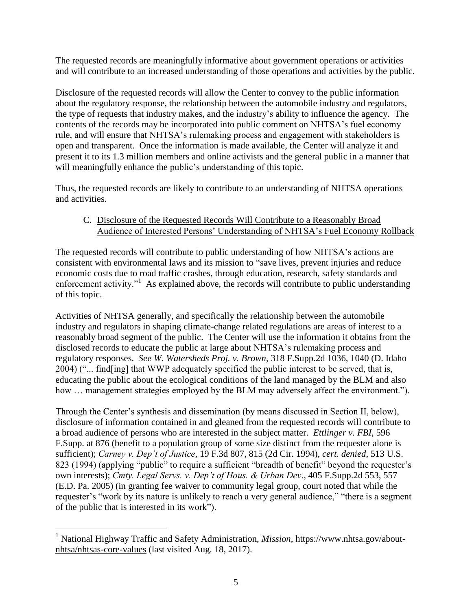The requested records are meaningfully informative about government operations or activities and will contribute to an increased understanding of those operations and activities by the public.

Disclosure of the requested records will allow the Center to convey to the public information about the regulatory response, the relationship between the automobile industry and regulators, the type of requests that industry makes, and the industry's ability to influence the agency. The contents of the records may be incorporated into public comment on NHTSA's fuel economy rule, and will ensure that NHTSA's rulemaking process and engagement with stakeholders is open and transparent. Once the information is made available, the Center will analyze it and present it to its 1.3 million members and online activists and the general public in a manner that will meaningfully enhance the public's understanding of this topic.

Thus, the requested records are likely to contribute to an understanding of NHTSA operations and activities.

# C. Disclosure of the Requested Records Will Contribute to a Reasonably Broad Audience of Interested Persons' Understanding of NHTSA's Fuel Economy Rollback

The requested records will contribute to public understanding of how NHTSA's actions are consistent with environmental laws and its mission to "save lives, prevent injuries and reduce economic costs due to road traffic crashes, through education, research, safety standards and enforcement activity."<sup>1</sup> As explained above, the records will contribute to public understanding of this topic.

Activities of NHTSA generally, and specifically the relationship between the automobile industry and regulators in shaping climate-change related regulations are areas of interest to a reasonably broad segment of the public. The Center will use the information it obtains from the disclosed records to educate the public at large about NHTSA's rulemaking process and regulatory responses. *See W. Watersheds Proj. v. Brown*, 318 F.Supp.2d 1036, 1040 (D. Idaho 2004) ("... find[ing] that WWP adequately specified the public interest to be served, that is, educating the public about the ecological conditions of the land managed by the BLM and also how ... management strategies employed by the BLM may adversely affect the environment.").

Through the Center's synthesis and dissemination (by means discussed in Section II, below), disclosure of information contained in and gleaned from the requested records will contribute to a broad audience of persons who are interested in the subject matter. *Ettlinger v. FBI*, 596 F.Supp. at 876 (benefit to a population group of some size distinct from the requester alone is sufficient); *Carney v. Dep't of Justice*, 19 F.3d 807, 815 (2d Cir. 1994), *cert. denied*, 513 U.S. 823 (1994) (applying "public" to require a sufficient "breadth of benefit" beyond the requester's own interests); *Cmty. Legal Servs. v. Dep't of Hous. & Urban Dev*., 405 F.Supp.2d 553, 557 (E.D. Pa. 2005) (in granting fee waiver to community legal group, court noted that while the requester's "work by its nature is unlikely to reach a very general audience," "there is a segment of the public that is interested in its work").

 $\overline{a}$ 

<sup>1</sup> National Highway Traffic and Safety Administration, *Mission*, https://www.nhtsa.gov/aboutnhtsa/nhtsas-core-values (last visited Aug. 18, 2017).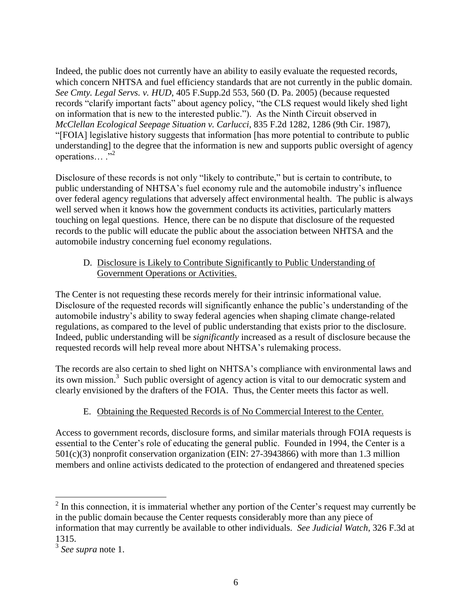Indeed, the public does not currently have an ability to easily evaluate the requested records, which concern NHTSA and fuel efficiency standards that are not currently in the public domain. *See Cmty. Legal Servs. v. HUD*, 405 F.Supp.2d 553, 560 (D. Pa. 2005) (because requested records "clarify important facts" about agency policy, "the CLS request would likely shed light on information that is new to the interested public."). As the Ninth Circuit observed in *McClellan Ecological Seepage Situation v. Carlucci*, 835 F.2d 1282, 1286 (9th Cir. 1987), "[FOIA] legislative history suggests that information [has more potential to contribute to public understanding] to the degree that the information is new and supports public oversight of agency operations...  $\cdot$ <sup>2</sup>

Disclosure of these records is not only "likely to contribute," but is certain to contribute, to public understanding of NHTSA's fuel economy rule and the automobile industry's influence over federal agency regulations that adversely affect environmental health. The public is always well served when it knows how the government conducts its activities, particularly matters touching on legal questions. Hence, there can be no dispute that disclosure of the requested records to the public will educate the public about the association between NHTSA and the automobile industry concerning fuel economy regulations.

## D. Disclosure is Likely to Contribute Significantly to Public Understanding of Government Operations or Activities.

The Center is not requesting these records merely for their intrinsic informational value. Disclosure of the requested records will significantly enhance the public's understanding of the automobile industry's ability to sway federal agencies when shaping climate change-related regulations, as compared to the level of public understanding that exists prior to the disclosure. Indeed, public understanding will be *significantly* increased as a result of disclosure because the requested records will help reveal more about NHTSA's rulemaking process.

The records are also certain to shed light on NHTSA's compliance with environmental laws and its own mission.<sup>3</sup> Such public oversight of agency action is vital to our democratic system and clearly envisioned by the drafters of the FOIA. Thus, the Center meets this factor as well.

# E. Obtaining the Requested Records is of No Commercial Interest to the Center.

Access to government records, disclosure forms, and similar materials through FOIA requests is essential to the Center's role of educating the general public. Founded in 1994, the Center is a 501(c)(3) nonprofit conservation organization (EIN: 27-3943866) with more than 1.3 million members and online activists dedicated to the protection of endangered and threatened species

<sup>&</sup>lt;sup>2</sup> In this connection, it is immaterial whether any portion of the Center's request may currently be in the public domain because the Center requests considerably more than any piece of information that may currently be available to other individuals. *See Judicial Watch*, 326 F.3d at 1315.

<sup>3</sup> *See supra* note 1.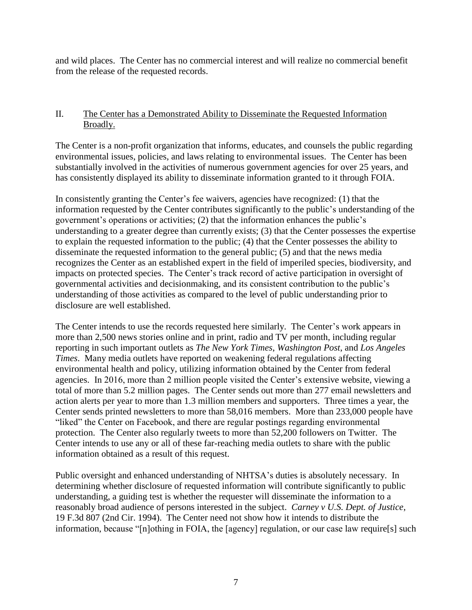and wild places. The Center has no commercial interest and will realize no commercial benefit from the release of the requested records.

#### II. The Center has a Demonstrated Ability to Disseminate the Requested Information Broadly.

The Center is a non-profit organization that informs, educates, and counsels the public regarding environmental issues, policies, and laws relating to environmental issues. The Center has been substantially involved in the activities of numerous government agencies for over 25 years, and has consistently displayed its ability to disseminate information granted to it through FOIA.

In consistently granting the Center's fee waivers, agencies have recognized: (1) that the information requested by the Center contributes significantly to the public's understanding of the government's operations or activities; (2) that the information enhances the public's understanding to a greater degree than currently exists; (3) that the Center possesses the expertise to explain the requested information to the public; (4) that the Center possesses the ability to disseminate the requested information to the general public; (5) and that the news media recognizes the Center as an established expert in the field of imperiled species, biodiversity, and impacts on protected species. The Center's track record of active participation in oversight of governmental activities and decisionmaking, and its consistent contribution to the public's understanding of those activities as compared to the level of public understanding prior to disclosure are well established.

The Center intends to use the records requested here similarly. The Center's work appears in more than 2,500 news stories online and in print, radio and TV per month, including regular reporting in such important outlets as *The New York Times*, *Washington Post*, and *Los Angeles Times*. Many media outlets have reported on weakening federal regulations affecting environmental health and policy, utilizing information obtained by the Center from federal agencies. In 2016, more than 2 million people visited the Center's extensive website, viewing a total of more than 5.2 million pages. The Center sends out more than 277 email newsletters and action alerts per year to more than 1.3 million members and supporters. Three times a year, the Center sends printed newsletters to more than 58,016 members. More than 233,000 people have "liked" the Center on Facebook, and there are regular postings regarding environmental protection. The Center also regularly tweets to more than 52,200 followers on Twitter. The Center intends to use any or all of these far-reaching media outlets to share with the public information obtained as a result of this request.

Public oversight and enhanced understanding of NHTSA's duties is absolutely necessary. In determining whether disclosure of requested information will contribute significantly to public understanding, a guiding test is whether the requester will disseminate the information to a reasonably broad audience of persons interested in the subject. *Carney v U.S. Dept. of Justice*, 19 F.3d 807 (2nd Cir. 1994). The Center need not show how it intends to distribute the information, because "[n]othing in FOIA, the [agency] regulation, or our case law require[s] such